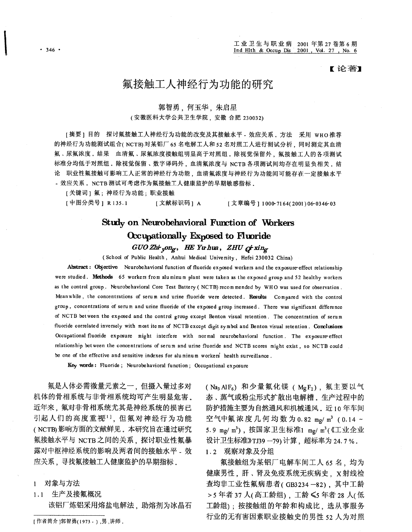【论著】

## 氟接触工人神经行为功能的研究

### 郭智勇,何玉华,朱启星

### (安徽医科大学公共卫生学院, 安徽 合肥 230032)

[摘要]目的 探讨氟接触工人神经行为功能的改变及其接触水平 - 效应关系, 方法 采用 wHO推荐 的神经行为功能测试组合(NCTB)对某铝厂 65 名电解工人和 52 名对照工人进行测试分析, 同时测定其血清 氟、尿氟浓度.结果 血清氟、尿氟浓度接触组明显高于对照组.除视觉保留外,氟接触工人的各项测试 标准分均低于对照组。除视觉保留、数字译码外,血清氟浓度与 NCTB 各项测试间均存在明显负相关。结 论 职业性氟接触可影响工人正常的神经行为功能,血清氟浓度与神经行为功能间可能存在一定接触水平 - 效应关系. NCTB 测试可考虑作为氟接触工人健康监护的早期敏感指标。

[关键词] 氟; 神经行为功能; 职业接触

[中图分类号] R135.1 [文献标识码] A [文章编号 ] 1000-7164(2001)06-0346-03

# Study on Neurobehavioral Function of Workers Occupationally Exposed to Fluoride

 $GUO Z$ hi <sub>v</sub>ong, HE Yuhua, ZHU  $Q^{\dagger}$ xing

(School of Public Health, Anhui Medical University, Hefei 230032 China)

Abstract: Objective Neurobehavioral function of fluoride exposed workers and the exposure effect relationship were studied. Methods 65 workers from aluminum plant were taken as the exposed group and 52 healthy workers as the control group. Neurobehavioral Core Test Battery (NCTB) recommended by WHO was used for observation. Meanwhile, the concentrations of serum and urine fluoride were detected. Results Compared with the control group, concentrations of serum and urine fluoride of the exposed group increased. There was significant difference of NCTB between the exposed and the control group except Benton visual retention. The concentration of serum fluoride correlated inversely with most items of NCTB except digit symbol and Benton visual retention. Conclusions Occupational fluoride exposure might interfere with normal neurobehavioral function. The exposure-effect relationship between the concentrations of serum and urine fluoride and NCTB scores might exist, so NCTB could be one of the effective and sensitive indexes for aluminum workers' health surveillance.

Key words: Fluoride; Neurobehavioral function; Occupational exposure

氟是人体必需微量元素之一,但摄入量过多对 机体的骨相系统与非骨相系统均可产生明显危害。 近年来,氟对非骨相系统尤其是神经系统的损害已 引起人们的高度重视<sup>11</sup>,但氟对神经行为功能 (NCTB)影响方面的文献鲜见。本研究旨在通过研究 氟接触水平与 NCTB 之间的关系, 探讨职业性氟暴 露对中枢神经系统的影响及两者间的接触水平。效 应关系,寻找氟接触工人健康监护的早期指标。

### 1 对象与方法

1.1 生产及接氟概况

该铝厂炼铝采用熔盐电解法、助熔剂为冰晶石

(Na<sub>3</sub> AlF<sub>6</sub>) 和少量氟化镁 (MgF<sub>2</sub>), 氟主要以气 态、蒸气或粉尘形式扩散出电解槽。生产过程中的 防护措施主要为自然通风和机械通风。近10年车间 空气中氟浓度几何均数为0.82 mg/m3 (0.14~ 5.9 mg/ m3), 按国家卫生标准1 mg/ m3(《工业企业 设计卫生标准》TJ39-79)计算,超标率为24.7%。

1.2 观察对象及分组

氟接触组为某铝厂电解车间工人 65 名、均为 健康男性, 肝、肾及免疫系统无疾病史, x射线检 查均非工业性氟病患者(GB3234-82), 其中工龄 >5年者37人(高工龄组),工龄≤5年者28人(低 工龄组); 按接触组的年龄和构成比, 选从事服务 行业的无有害因素职业接触史的男性 52 人为对照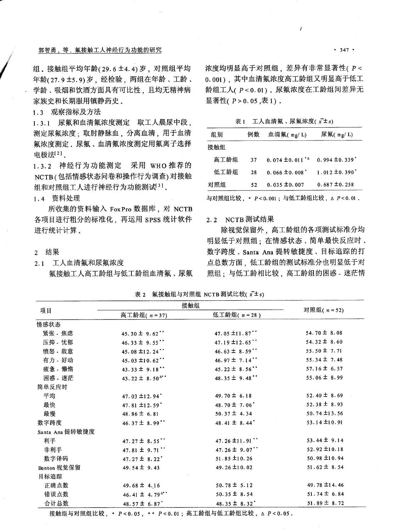### 郭智勇,等. 氟接触工人神经行为功能的研究

组。接触组平均年龄(29.6±4.4)岁, 对照组平均 年龄(27.9±5.9)岁,经检验,两组在年龄、工龄、 学龄、吸烟和饮酒方面具有可比性、且均无精神病 家族史和长期服用镇静药史。

1.3 观察指标及方法

1.3.1 尿氟和血清氟浓度测定 取工人晨尿中段, 测定尿氟浓度: 取肘静脉血, 分离血清, 用于血清 氟浓度测定。尿氟、血清氟浓度测定用氟离子选择 电极法[2]。

1.3.2 神经行为功能测定 采用 WHO 推荐的 NCTB(包括情感状态问卷和操作行为调查)对接触 组和对照组工人进行神经行为功能测试31。

1.4 资料处理

所收集的资料输入 FoxPro 数据库, 对 NCTB 各项目进行粗分的标准化、再运用 SPSS 统计软件 进行统计计算。

- 2 结果
- 2.1 工人血清氟和尿氟浓度 氟接触工人高工龄组与低工龄组血清氟、尿氟

浓度均明显高于对照组, 差异有非常显著性(P< 0.001), 其中血清氟浓度高工龄组又明显高于低工 龄组工人(P<0.01)。尿氟浓度在工龄组间差异无 显著性(P>0.05,表1)。

表1 工人血清氟、尿氟浓度(x±s)

| 组别   | 例数 | 血清氟(mg/L)                             | 尿氟(mg/L)                       |
|------|----|---------------------------------------|--------------------------------|
| 接触组  |    |                                       |                                |
| 高工龄组 | 37 | $0.074 \pm 0.011$ <sup>*</sup>        | $0.994 \pm 0.339$              |
| 低工龄组 | 28 | $0.066 \pm 0.008$                     | $1.012 \pm 0.390$ <sup>*</sup> |
| 对照组  | 52 | $0.035 \pm 0.007$                     | $0.687 \pm 0.258$              |
|      |    | 与对照组比较, * P<0.001; 与低工龄组比较, Δ P<0.01. |                                |

#### 2.2 NCTB 测试结果

除视觉保留外,高工龄组的各项测试标准分均 明显低于对照组;在情感状态、简单最快反应时、 数字跨度、Santa Ana 提转敏捷度、目标追踪的打 点总数方面,低工龄组的测试标准分也明显低于对 照组:与低工龄相比较,高工龄组的困惑 - 迷茫情

表 2 氟接触组与对照组 NCTB 测试比较(x<sup>-+</sup>s)

| 项目              | 接触组                                              |                                 |                   |
|-----------------|--------------------------------------------------|---------------------------------|-------------------|
|                 | 高工龄组(n=37)                                       | 低工龄组(n=28)                      | 对照组(n=52)         |
| 情感状态            |                                                  |                                 |                   |
| 紧张 焦虑           | 45.30 $\pm$ 9.62 <sup>**</sup>                   | 47.05 $\pm$ 11.87 <sup>**</sup> | $54.70 \pm 8.08$  |
| 压抑 - 忧郁         | 46.33 $\pm$ 9.55 <sup>**</sup>                   | 47.19 ±12.65"                   | 54.32 $\pm$ 8.60  |
| 愤怒 - 敌意         | 45.08 ±12.24"                                    | 46.63 $\pm$ 8.59 <sup>**</sup>  | 55.50 $\pm$ 7.71  |
| 有力 - 好动         | 45.03 $\pm$ 10.62 <sup>*</sup>                   | 46.97 $\pm$ 7.14**              | 55.34 $\pm$ 7.48  |
| 疲惫 - 懒惰         | 43.33 $\pm$ 9.18 <sup>*</sup>                    | 45.22 $\pm$ 8.56 <sup>**</sup>  | $57.16 \pm 6.57$  |
| 困惑 - 迷茫         | 43.22 $\pm$ 8.50 <sup><math>\Delta</math>*</sup> | 48.35 $\pm$ 9.48"               | 55.06 $\pm$ 8.99  |
| 简单反应时           |                                                  |                                 |                   |
| 平均              | 47.03 $\pm$ 12.94                                | 49.70 $\pm$ 6.18                | 52.40 $\pm$ 8.69  |
| 最快              | 47.81 ±12.59                                     | 48.70 $\pm$ 7.06                | $52.38 \pm 8.93$  |
| 最慢              | 48.86 $\pm$ 6.81                                 | $50.37 \pm 4.34$                | 50.74 ±13.56      |
| 数字跨度            | 46.37 $\pm$ 8.99"                                | 48.41 $\pm$ 8.44                | 53.14 ±10.91      |
| Santa Ana 提转敏捷度 |                                                  |                                 |                   |
| 利手              | 47.27 $\pm$ 8.55"                                | 47.26 ±11.91"                   | $53.44 \pm 9.14$  |
| 非利手             | 47.81 $\pm$ 9.71"                                | 47.26 $\pm$ 9.07"               | 52.92 $\pm$ 10.18 |
| 数字译码            | $47.27 \pm 8.22$                                 | $51.85 \pm 10.26$               | 50.98 ±10.94      |
| Benton 视觉保留     | 49.54 $\pm$ 9.43                                 | 49.26 $\pm$ 10.02               | $51.62 \pm 8.54$  |
| 目标追踪            |                                                  |                                 |                   |
| 正确点数            | 49.68 $\pm$ 4.16                                 | $50.78 \pm 5.12$                | 49.78 $\pm$ 14.46 |
| 错误点数            | 46.41 $\pm$ 4.79 <sup><math>\Delta</math>*</sup> | $50.35 \pm 8.54$                | $51.74 \pm 6.84$  |
| 合计总数            | 48.57 $\pm$ 6.87                                 | 48.35 $\pm$ 8.32                | $51.89 \pm 8.72$  |

接触组与对照组比较, \* P<0.05, \*\* P<0.01; 高工龄组与低工龄组比较, △ P<0.05.